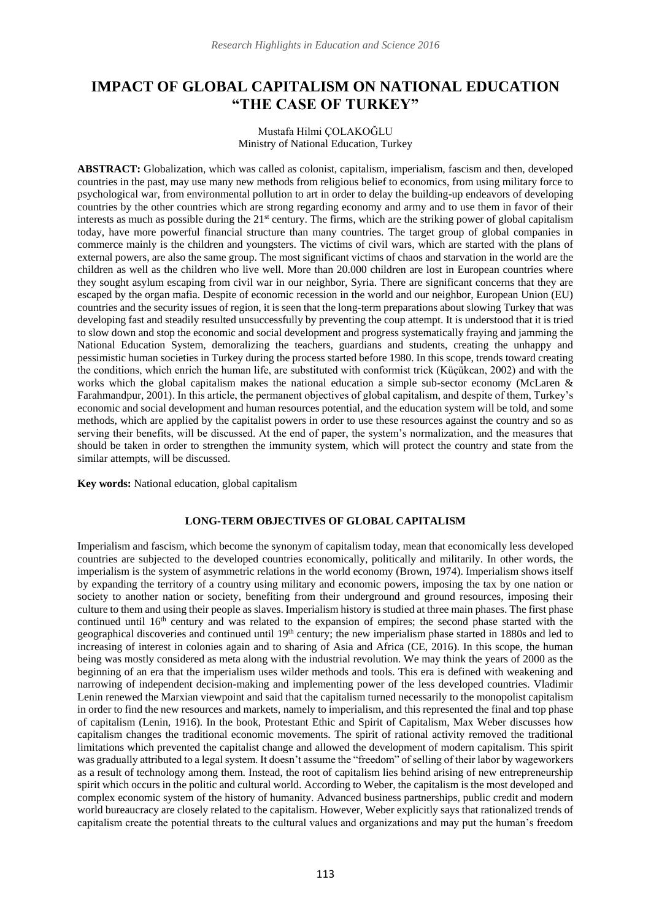# **IMPACT OF GLOBAL CAPITALISM ON NATIONAL EDUCATION "THE CASE OF TURKEY"**

## Mustafa Hilmi ÇOLAKOĞLU Ministry of National Education, Turkey

**ABSTRACT:** Globalization, which was called as colonist, capitalism, imperialism, fascism and then, developed countries in the past, may use many new methods from religious belief to economics, from using military force to psychological war, from environmental pollution to art in order to delay the building-up endeavors of developing countries by the other countries which are strong regarding economy and army and to use them in favor of their interests as much as possible during the 21st century. The firms, which are the striking power of global capitalism today, have more powerful financial structure than many countries. The target group of global companies in commerce mainly is the children and youngsters. The victims of civil wars, which are started with the plans of external powers, are also the same group. The most significant victims of chaos and starvation in the world are the children as well as the children who live well. More than 20.000 children are lost in European countries where they sought asylum escaping from civil war in our neighbor, Syria. There are significant concerns that they are escaped by the organ mafia. Despite of economic recession in the world and our neighbor, European Union (EU) countries and the security issues of region, it is seen that the long-term preparations about slowing Turkey that was developing fast and steadily resulted unsuccessfully by preventing the coup attempt. It is understood that it is tried to slow down and stop the economic and social development and progress systematically fraying and jamming the National Education System, demoralizing the teachers, guardians and students, creating the unhappy and pessimistic human societies in Turkey during the process started before 1980. In this scope, trends toward creating the conditions, which enrich the human life, are substituted with conformist trick (Küçükcan, 2002) and with the works which the global capitalism makes the national education a simple sub-sector economy (McLaren & Farahmandpur, 2001). In this article, the permanent objectives of global capitalism, and despite of them, Turkey's economic and social development and human resources potential, and the education system will be told, and some methods, which are applied by the capitalist powers in order to use these resources against the country and so as serving their benefits, will be discussed. At the end of paper, the system's normalization, and the measures that should be taken in order to strengthen the immunity system, which will protect the country and state from the similar attempts, will be discussed.

**Key words:** National education, global capitalism

## **LONG-TERM OBJECTIVES OF GLOBAL CAPITALISM**

Imperialism and fascism, which become the synonym of capitalism today, mean that economically less developed countries are subjected to the developed countries economically, politically and militarily. In other words, the imperialism is the system of asymmetric relations in the world economy (Brown, 1974). Imperialism shows itself by expanding the territory of a country using military and economic powers, imposing the tax by one nation or society to another nation or society, benefiting from their underground and ground resources, imposing their culture to them and using their people as slaves. Imperialism history is studied at three main phases. The first phase continued until 16<sup>th</sup> [century a](https://tr.wikipedia.org/wiki/16._y%C3%BCzy%C4%B1l)nd was related to the expansion of empires; the second phase started with the geographical discoveries and continued until 19<sup>th</sup> [century;](https://tr.wikipedia.org/wiki/19._y%C3%BCzy%C4%B1l) the new imperialism phase started in 1880s and led to increasing of interest in colonies again and to sharing of Asia and Africa (CE, 2016). In this scope, the human being was mostly considered as meta along with the industrial revolution. We may think the years of 2000 as the beginning of an era that the imperialism uses wilder methods and tools. This era is defined with weakening and narrowing of independent decision-making and implementing power of the less developed countries. Vladimir Lenin renewed the Marxian viewpoint and said that the capitalism turned necessarily to the monopolist capitalism in order to find the new resources and markets, namely to imperialism, and this represented the final and top phase of capitalism (Lenin, 1916). In the book, Protestant Ethic and Spirit of Capitalism, Max Weber discusses how capitalism changes the traditional economic movements. The spirit of rational activity removed the traditional limitations which prevented the capitalist change and allowed the development of modern capitalism. This spirit was gradually attributed to a legal system. It doesn't assume the "freedom" of selling of their labor by wageworkers as a result of technology among them. Instead, the root of capitalism lies behind arising of new entrepreneurship spirit which occurs in the politic and cultural world. According to Weber, the capitalism is the most developed and complex economic system of the history of humanity. Advanced business partnerships, public credit and modern world bureaucracy are closely related to the capitalism. However, Weber explicitly says that rationalized trends of capitalism create the potential threats to the cultural values and organizations and may put the human's freedom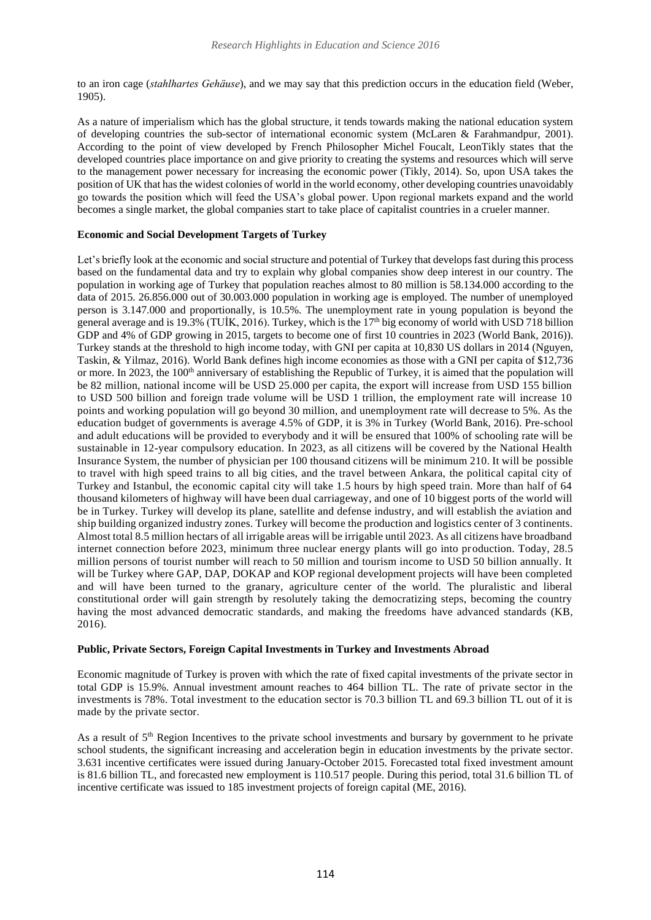to an iron cage (*stahlhartes Gehäuse*), and we may say that this prediction occurs in the education field (Weber, 1905).

As a nature of imperialism which has the global structure, it tends towards making the national education system of developing countries the sub-sector of international economic system (McLaren & Farahmandpur, 2001). According to the point of view developed by French Philosopher Michel Foucalt, LeonTikly states that the developed countries place importance on and give priority to creating the systems and resources which will serve to the management power necessary for increasing the economic power (Tikly, 2014). So, upon USA takes the position of UK that has the widest colonies of world in the world economy, other developing countries unavoidably go towards the position which will feed the USA's global power. Upon regional markets expand and the world becomes a single market, the global companies start to take place of capitalist countries in a crueler manner.

## **Economic and Social Development Targets of Turkey**

Let's briefly look at the economic and social structure and potential of Turkey that develops fast during this process based on the fundamental data and try to explain why global companies show deep interest in our country. The population in working age of Turkey that population reaches almost to 80 million is 58.134.000 according to the data of 2015. 26.856.000 out of 30.003.000 population in working age is employed. The number of unemployed person is 3.147.000 and proportionally, is 10.5%. The unemployment rate in young population is beyond the general average and is 19.3% (TUİK, 2016). Turkey, which is the 17th big economy of world with USD 718 billion GDP and 4% of GDP growing in 2015, targets to become one of first 10 countries in 2023 (World Bank, 2016)). Turkey stands at the threshold to high income today, with GNI per capita at 10,830 US dollars in 2014 (Nguyen, Taskin, & Yilmaz, 2016). World Bank defines high income economies as those with a GNI per capita of \$12,736 or more. In 2023, the 100<sup>th</sup> anniversary of establishing the Republic of Turkey, it is aimed that the population will be 82 million, national income will be USD 25.000 per capita, the export will increase from USD 155 billion to USD 500 billion and foreign trade volume will be USD 1 trillion, the employment rate will increase 10 points and working population will go beyond 30 million, and unemployment rate will decrease to 5%. As the education budget of governments is average 4.5% of GDP, it is 3% in Turkey (World Bank, 2016). Pre-school and adult educations will be provided to everybody and it will be ensured that 100% of schooling rate will be sustainable in 12-year compulsory education. In 2023, as all citizens will be covered by the National Health Insurance System, the number of physician per 100 thousand citizens will be minimum 210. It will be possible to travel with high speed trains to all big cities, and the travel between Ankara, the political capital city of Turkey and Istanbul, the economic capital city will take 1.5 hours by high speed train. More than half of 64 thousand kilometers of highway will have been dual carriageway, and one of 10 biggest ports of the world will be in Turkey. Turkey will develop its plane, satellite and defense industry, and will establish the aviation and ship building organized industry zones. Turkey will become the production and logistics center of 3 continents. Almost total 8.5 million hectars of all irrigable areas will be irrigable until 2023. As all citizens have broadband internet connection before 2023, minimum three nuclear energy plants will go into production. Today, 28.5 million persons of tourist number will reach to 50 million and tourism income to USD 50 billion annually. It will be Turkey where GAP, DAP, DOKAP and KOP regional development projects will have been completed and will have been turned to the granary, agriculture center of the world. The pluralistic and liberal constitutional order will gain strength by resolutely taking the democratizing steps, becoming the country having the most advanced democratic standards, and making the freedoms have advanced standards (KB, 2016).

#### **Public, Private Sectors, Foreign Capital Investments in Turkey and Investments Abroad**

Economic magnitude of Turkey is proven with which the rate of fixed capital investments of the private sector in total GDP is 15.9%. Annual investment amount reaches to 464 billion TL. The rate of private sector in the investments is 78%. Total investment to the education sector is 70.3 billion TL and 69.3 billion TL out of it is made by the private sector.

As a result of 5<sup>th</sup> Region Incentives to the private school investments and bursary by government to he private school students, the significant increasing and acceleration begin in education investments by the private sector. 3.631 incentive certificates were issued during January-October 2015. Forecasted total fixed investment amount is 81.6 billion TL, and forecasted new employment is 110.517 people. During this period, total 31.6 billion TL of incentive certificate was issued to 185 investment projects of foreign capital (ME, 2016).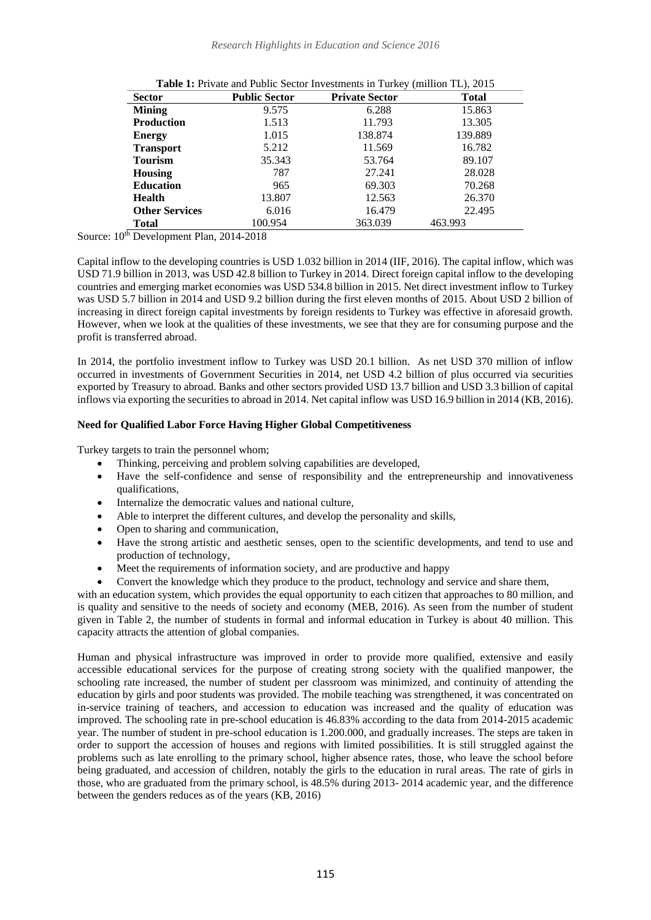| <b>Sector</b>         | <b>Public Sector</b> | <b>Private Sector</b> | <b>Total</b> |
|-----------------------|----------------------|-----------------------|--------------|
| <b>Mining</b>         | 9.575                | 6.288                 | 15.863       |
| <b>Production</b>     | 1.513                | 11.793                | 13.305       |
| <b>Energy</b>         | 1.015                | 138.874               | 139.889      |
| <b>Transport</b>      | 5.212                | 11.569                | 16.782       |
| <b>Tourism</b>        | 35.343               | 53.764                | 89.107       |
| Housing               | 787                  | 27.241                | 28.028       |
| <b>Education</b>      | 965                  | 69.303                | 70.268       |
| <b>Health</b>         | 13.807               | 12.563                | 26.370       |
| <b>Other Services</b> | 6.016                | 16.479                | 22.495       |
| Total                 | 100.954              | 363.039               | 463.993      |

Source:  $10^{th}$  Development Plan, 2014-2018

Capital inflow to the developing countries is USD 1.032 billion in 2014 (IIF, 2016). The capital inflow, which was USD 71.9 billion in 2013, was USD 42.8 billion to Turkey in 2014. Direct foreign capital inflow to the developing countries and emerging market economies was USD 534.8 billion in 2015. Net direct investment inflow to Turkey was USD 5.7 billion in 2014 and USD 9.2 billion during the first eleven months of 2015. About USD 2 billion of increasing in direct foreign capital investments by foreign residents to Turkey was effective in aforesaid growth. However, when we look at the qualities of these investments, we see that they are for consuming purpose and the profit is transferred abroad.

In 2014, the portfolio investment inflow to Turkey was USD 20.1 billion. As net USD 370 million of inflow occurred in investments of Government Securities in 2014, net USD 4.2 billion of plus occurred via securities exported by Treasury to abroad. Banks and other sectors provided USD 13.7 billion and USD 3.3 billion of capital inflows via exporting the securities to abroad in 2014. Net capital inflow was USD 16.9 billion in 2014 (KB, 2016).

# **Need for Qualified Labor Force Having Higher Global Competitiveness**

Turkey targets to train the personnel whom;

- Thinking, perceiving and problem solving capabilities are developed,
- Have the self-confidence and sense of responsibility and the entrepreneurship and innovativeness qualifications,
- Internalize the democratic values and national culture,
- Able to interpret the different cultures, and develop the personality and skills,
- Open to sharing and communication,
- Have the strong artistic and aesthetic senses, open to the scientific developments, and tend to use and production of technology,
- Meet the requirements of information society, and are productive and happy
- Convert the knowledge which they produce to the product, technology and service and share them,

with an education system, which provides the equal opportunity to each citizen that approaches to 80 million, and is quality and sensitive to the needs of society and economy (MEB, 2016). As seen from the number of student given in Table 2, the number of students in formal and informal education in Turkey is about 40 million. This capacity attracts the attention of global companies.

Human and physical infrastructure was improved in order to provide more qualified, extensive and easily accessible educational services for the purpose of creating strong society with the qualified manpower, the schooling rate increased, the number of student per classroom was minimized, and continuity of attending the education by girls and poor students was provided. The mobile teaching was strengthened, it was concentrated on in-service training of teachers, and accession to education was increased and the quality of education was improved. The schooling rate in pre-school education is 46.83% according to the data from 2014-2015 academic year. The number of student in pre-school education is 1.200.000, and gradually increases. The steps are taken in order to support the accession of houses and regions with limited possibilities. It is still struggled against the problems such as late enrolling to the primary school, higher absence rates, those, who leave the school before being graduated, and accession of children, notably the girls to the education in rural areas. The rate of girls in those, who are graduated from the primary school, is 48.5% during 2013- 2014 academic year, and the difference between the genders reduces as of the years (KB, 2016)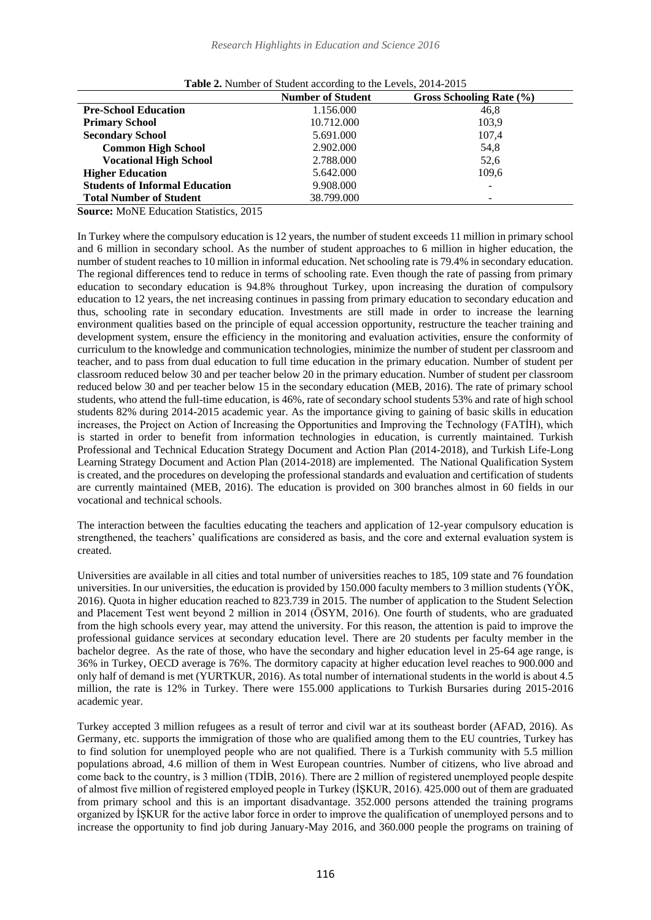|                                       | <b>Number of Student</b> | Gross Schooling Rate (%) |
|---------------------------------------|--------------------------|--------------------------|
| <b>Pre-School Education</b>           | 1.156.000                | 46.8                     |
| <b>Primary School</b>                 | 10.712.000               | 103.9                    |
| <b>Secondary School</b>               | 5.691.000                | 107,4                    |
| <b>Common High School</b>             | 2.902.000                | 54,8                     |
| <b>Vocational High School</b>         | 2.788.000                | 52,6                     |
| <b>Higher Education</b>               | 5.642.000                | 109.6                    |
| <b>Students of Informal Education</b> | 9.908.000                |                          |
| <b>Total Number of Student</b>        | 38.799.000               |                          |

|  | Table 2. Number of Student according to the Levels, 2014-2015 |  |
|--|---------------------------------------------------------------|--|
|  |                                                               |  |

**Source:** MoNE Education Statistics, 2015

In Turkey where the compulsory education is 12 years, the number of student exceeds 11 million in primary school and 6 million in secondary school. As the number of student approaches to 6 million in higher education, the number of student reaches to 10 million in informal education. Net schooling rate is 79.4% in secondary education. The regional differences tend to reduce in terms of schooling rate. Even though the rate of passing from primary education to secondary education is 94.8% throughout Turkey, upon increasing the duration of compulsory education to 12 years, the net increasing continues in passing from primary education to secondary education and thus, schooling rate in secondary education. Investments are still made in order to increase the learning environment qualities based on the principle of equal accession opportunity, restructure the teacher training and development system, ensure the efficiency in the monitoring and evaluation activities, ensure the conformity of curriculum to the knowledge and communication technologies, minimize the number of student per classroom and teacher, and to pass from dual education to full time education in the primary education. Number of student per classroom reduced below 30 and per teacher below 20 in the primary education. Number of student per classroom reduced below 30 and per teacher below 15 in the secondary education (MEB, 2016). The rate of primary school students, who attend the full-time education, is 46%, rate of secondary school students 53% and rate of high school students 82% during 2014-2015 academic year. As the importance giving to gaining of basic skills in education increases, the Project on Action of Increasing the Opportunities and Improving the Technology (FATİH), which is started in order to benefit from information technologies in education, is currently maintained. Turkish Professional and Technical Education Strategy Document and Action Plan (2014-2018), and Turkish Life-Long Learning Strategy Document and Action Plan (2014-2018) are implemented. The National Qualification System is created, and the procedures on developing the professional standards and evaluation and certification of students are currently maintained (MEB, 2016). The education is provided on 300 branches almost in 60 fields in our vocational and technical schools.

The interaction between the faculties educating the teachers and application of 12-year compulsory education is strengthened, the teachers' qualifications are considered as basis, and the core and external evaluation system is created.

Universities are available in all cities and total number of universities reaches to 185, 109 state and 76 foundation universities. In our universities, the education is provided by 150.000 faculty members to 3 million students (YÖK, 2016). Quota in higher education reached to 823.739 in 2015. The number of application to the Student Selection and Placement Test went beyond 2 million in 2014 (ÖSYM, 2016). One fourth of students, who are graduated from the high schools every year, may attend the university. For this reason, the attention is paid to improve the professional guidance services at secondary education level. There are 20 students per faculty member in the bachelor degree. As the rate of those, who have the secondary and higher education level in 25-64 age range, is 36% in Turkey, OECD average is 76%. The dormitory capacity at higher education level reaches to 900.000 and only half of demand is met (YURTKUR, 2016). As total number of international students in the world is about 4.5 million, the rate is 12% in Turkey. There were 155.000 applications to Turkish Bursaries during 2015-2016 academic year.

Turkey accepted 3 million refugees as a result of terror and civil war at its southeast border (AFAD, 2016). As Germany, etc. supports the immigration of those who are qualified among them to the EU countries, Turkey has to find solution for unemployed people who are not qualified. There is a Turkish community with 5.5 million populations abroad, 4.6 million of them in West European countries. Number of citizens, who live abroad and come back to the country, is 3 million (TDİB, 2016). There are 2 million of registered unemployed people despite of almost five million of registered employed people in Turkey (İŞKUR, 2016). 425.000 out of them are graduated from primary school and this is an important disadvantage. 352.000 persons attended the training programs organized by İŞKUR for the active labor force in order to improve the qualification of unemployed persons and to increase the opportunity to find job during January-May 2016, and 360.000 people the programs on training of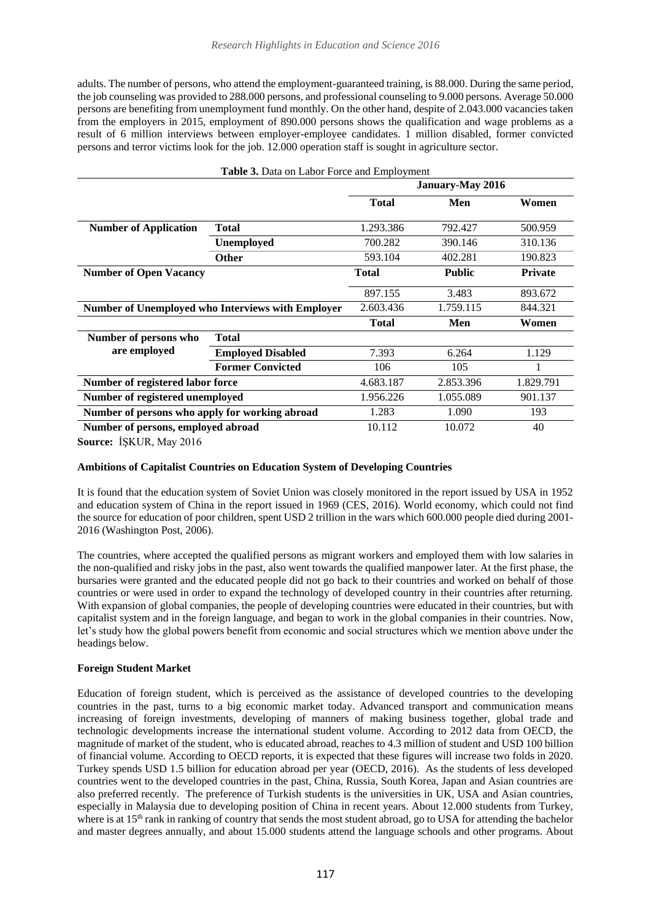adults. The number of persons, who attend the employment-guaranteed training, is 88.000. During the same period, the job counseling was provided to 288.000 persons, and professional counseling to 9.000 persons. Average 50.000 persons are benefiting from unemployment fund monthly. On the other hand, despite of 2.043.000 vacancies taken from the employers in 2015, employment of 890.000 persons shows the qualification and wage problems as a result of 6 million interviews between employer-employee candidates. 1 million disabled, former convicted persons and terror victims look for the job. 12.000 operation staff is sought in agriculture sector.

| Table 3. Data on Labor Force and Employment              |                  |                    |                |  |  |
|----------------------------------------------------------|------------------|--------------------|----------------|--|--|
|                                                          | January-May 2016 |                    |                |  |  |
|                                                          | <b>Total</b>     | Men                | Women          |  |  |
| <b>Total</b>                                             | 1.293.386        | 792.427            | 500.959        |  |  |
| <b>Unemployed</b>                                        | 700.282          | 390.146            | 310.136        |  |  |
| <b>Other</b>                                             | 593.104          | 402.281            | 190.823        |  |  |
|                                                          | <b>Total</b>     | <b>Public</b>      | <b>Private</b> |  |  |
|                                                          | 897.155          | 3.483              | 893.672        |  |  |
| <b>Number of Unemployed who Interviews with Employer</b> | 2.603.436        | 1.759.115          | 844.321        |  |  |
|                                                          | <b>Total</b>     | Men                | Women          |  |  |
| <b>Total</b>                                             |                  |                    |                |  |  |
| <b>Employed Disabled</b>                                 | 7.393            | 6.264              | 1.129          |  |  |
| <b>Former Convicted</b>                                  | 106              | 105                |                |  |  |
| Number of registered labor force                         | 4.683.187        | 2.853.396          | 1.829.791      |  |  |
| Number of registered unemployed                          |                  | 1.055.089          | 901.137        |  |  |
| Number of persons who apply for working abroad           |                  | 1.090              | 193            |  |  |
| Number of persons, employed abroad                       | 10.112           | 10.072             | 40             |  |  |
|                                                          |                  | 1.956.226<br>1.283 |                |  |  |

**Source:** İŞKUR, May 2016

# **Ambitions of Capitalist Countries on Education System of Developing Countries**

It is found that the education system of Soviet Union was closely monitored in the report issued by USA in 1952 and education system of China in the report issued in 1969 (CES, 2016). World economy, which could not find the source for education of poor children, spent USD 2 trillion in the wars which 600.000 people died during 2001- 2016 (Washington Post, 2006).

The countries, where accepted the qualified persons as migrant workers and employed them with low salaries in the non-qualified and risky jobs in the past, also went towards the qualified manpower later. At the first phase, the bursaries were granted and the educated people did not go back to their countries and worked on behalf of those countries or were used in order to expand the technology of developed country in their countries after returning. With expansion of global companies, the people of developing countries were educated in their countries, but with capitalist system and in the foreign language, and began to work in the global companies in their countries. Now, let's study how the global powers benefit from economic and social structures which we mention above under the headings below.

## **Foreign Student Market**

Education of foreign student, which is perceived as the assistance of developed countries to the developing countries in the past, turns to a big economic market today. Advanced transport and communication means increasing of foreign investments, developing of manners of making business together, global trade and technologic developments increase the international student volume. According to 2012 data from OECD, the magnitude of market of the student, who is educated abroad, reaches to 4.3 million of student and USD 100 billion of financial volume. According to OECD reports, it is expected that these figures will increase two folds in 2020. Turkey spends USD 1.5 billion for education abroad per year (OECD, 2016). As the students of less developed countries went to the developed countries in the past, China, Russia, South Korea, Japan and Asian countries are also preferred recently. The preference of Turkish students is the universities in UK, USA and Asian countries, especially in Malaysia due to developing position of China in recent years. About 12.000 students from Turkey, where is at 15<sup>th</sup> rank in ranking of country that sends the most student abroad, go to USA for attending the bachelor and master degrees annually, and about 15.000 students attend the language schools and other programs. About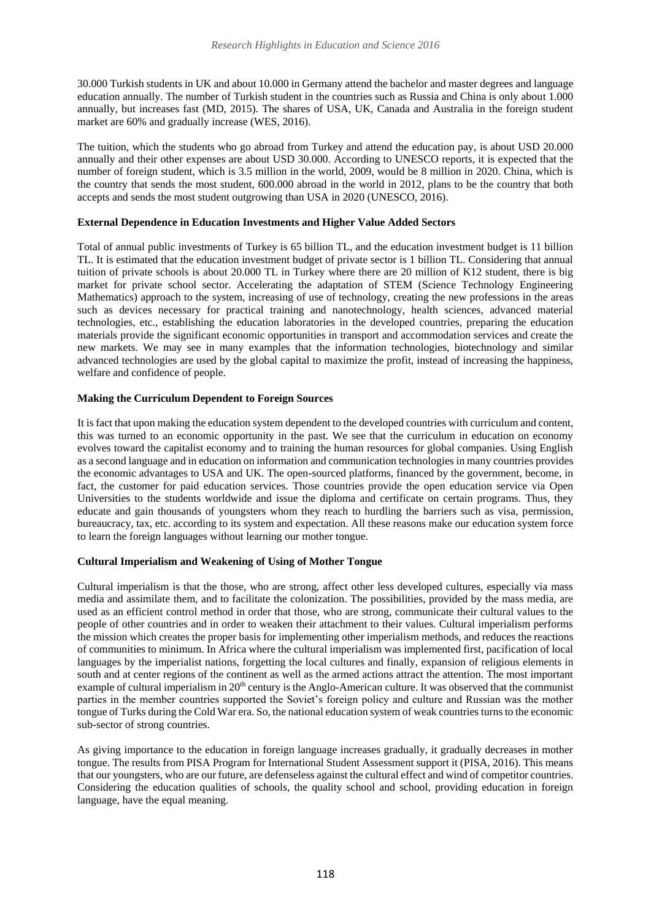30.000 Turkish students in UK and about 10.000 in Germany attend the bachelor and master degrees and language education annually. The number of Turkish student in the countries such as Russia and China is only about 1.000 annually, but increases fast (MD, 2015). The shares of USA, UK, Canada and Australia in the foreign student market are 60% and gradually increase (WES, 2016).

The tuition, which the students who go abroad from Turkey and attend the education pay, is about USD 20.000 annually and their other expenses are about USD 30.000. According to UNESCO reports, it is expected that the number of foreign student, which is 3.5 million in the world, 2009, would be 8 million in 2020. China, which is the country that sends the most student, 600.000 abroad in the world in 2012, plans to be the country that both accepts and sends the most student outgrowing than USA in 2020 (UNESCO, 2016).

# **External Dependence in Education Investments and Higher Value Added Sectors**

Total of annual public investments of Turkey is 65 billion TL, and the education investment budget is 11 billion TL. It is estimated that the education investment budget of private sector is 1 billion TL. Considering that annual tuition of private schools is about 20.000 TL in Turkey where there are 20 million of K12 student, there is big market for private school sector. Accelerating the adaptation of STEM (Science Technology Engineering Mathematics) approach to the system, increasing of use of technology, creating the new professions in the areas such as devices necessary for practical training and nanotechnology, health sciences, advanced material technologies, etc., establishing the education laboratories in the developed countries, preparing the education materials provide the significant economic opportunities in transport and accommodation services and create the new markets. We may see in many examples that the information technologies, biotechnology and similar advanced technologies are used by the global capital to maximize the profit, instead of increasing the happiness, welfare and confidence of people.

## **Making the Curriculum Dependent to Foreign Sources**

It is fact that upon making the education system dependent to the developed countries with curriculum and content, this was turned to an economic opportunity in the past. We see that the curriculum in education on economy evolves toward the capitalist economy and to training the human resources for global companies. Using English as a second language and in education on information and communication technologies in many countries provides the economic advantages to USA and UK. The open-sourced platforms, financed by the government, become, in fact, the customer for paid education services. Those countries provide the open education service via Open Universities to the students worldwide and issue the diploma and certificate on certain programs. Thus, they educate and gain thousands of youngsters whom they reach to hurdling the barriers such as visa, permission, bureaucracy, tax, etc. according to its system and expectation. All these reasons make our education system force to learn the foreign languages without learning our mother tongue.

## **Cultural Imperialism and Weakening of Using of Mother Tongue**

Cultural imperialism is that the those, who are strong, affect other less developed cultures, especially via mass media and assimilate them, and to facilitate the colonization. The possibilities, provided by the mass media, are used as an efficient control method in order that those, who are strong, communicate their cultural values to the people of other countries and in order to weaken their attachment to their values. Cultural imperialism performs the mission which creates the proper basis for implementing other imperialism methods, and reduces the reactions of communities to minimum. In Africa where the cultural imperialism was implemented first, pacification of local languages by the imperialist nations, forgetting the local cultures and finally, expansion of religious elements in south and at center regions of the continent as well as the armed actions attract the attention. The most important example of cultural imperialism in 20<sup>th</sup> century is the Anglo-American culture. It was observed that the communist parties in the member countries supported the Soviet's foreign policy and culture and Russian was the mother tongue of Turks during the Cold War era. So, the national education system of weak countries turns to the economic sub-sector of strong countries.

As giving importance to the education in foreign language increases gradually, it gradually decreases in mother tongue. The results from PISA Program for International Student Assessment support it (PISA, 2016). This means that our youngsters, who are our future, are defenseless against the cultural effect and wind of competitor countries. Considering the education qualities of schools, the quality school and school, providing education in foreign language, have the equal meaning.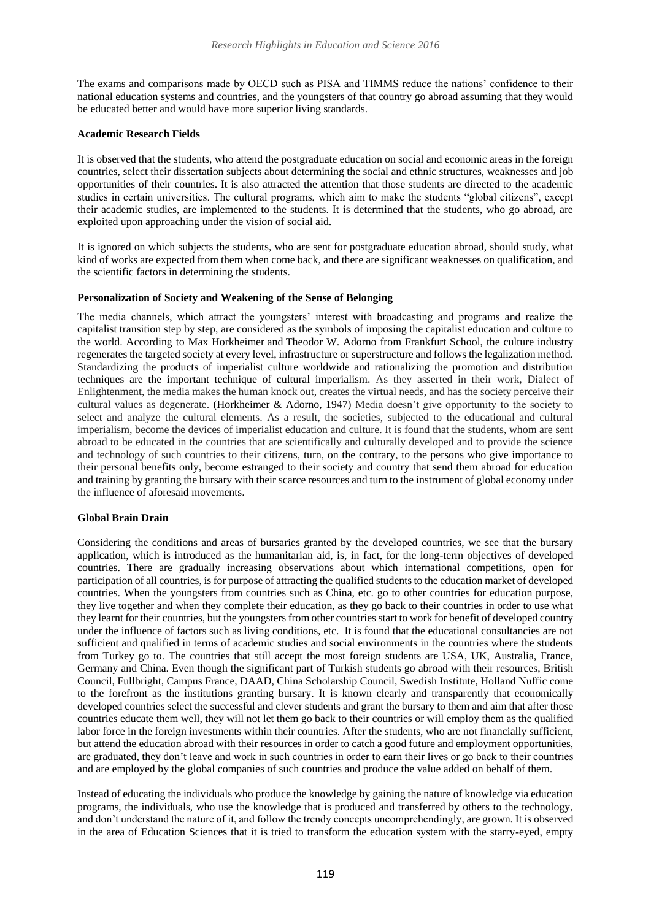The exams and comparisons made by OECD such as PISA and TIMMS reduce the nations' confidence to their national education systems and countries, and the youngsters of that country go abroad assuming that they would be educated better and would have more superior living standards.

#### **Academic Research Fields**

It is observed that the students, who attend the postgraduate education on social and economic areas in the foreign countries, select their dissertation subjects about determining the social and ethnic structures, weaknesses and job opportunities of their countries. It is also attracted the attention that those students are directed to the academic studies in certain universities. The cultural programs, which aim to make the students "global citizens", except their academic studies, are implemented to the students. It is determined that the students, who go abroad, are exploited upon approaching under the vision of social aid.

It is ignored on which subjects the students, who are sent for postgraduate education abroad, should study, what kind of works are expected from them when come back, and there are significant weaknesses on qualification, and the scientific factors in determining the students.

## **Personalization of Society and Weakening of the Sense of Belonging**

The media channels, which attract the youngsters' interest with broadcasting and programs and realize the capitalist transition step by step, are considered as the symbols of imposing the capitalist education and culture to the world. According to [Max Horkheimer](https://tr.wikipedia.org/wiki/Max_Horkheimer) and [Theodor W. Adorno](https://tr.wikipedia.org/wiki/Theodor_W._Adorno) from [Frankfurt School, t](https://tr.wikipedia.org/wiki/Frankfurt_Okulu)he culture industry regenerates the targeted society at every level, infrastructure or superstructure and follows the legalization method. Standardizing the products of imperialist culture worldwide and rationalizing the promotion and distribution techniques are the important technique of cultural imperialism. As they asserted in their work, Dialect of Enlightenment, the media makes the human knock out, creates the virtual needs, and has the society perceive their cultural values as degenerate. (Horkheimer & Adorno, 1947) Media doesn't give opportunity to the society to select and analyze the cultural elements. As a result, the societies, subjected to the educational and cultural imperialism, become the devices of imperialist education and culture. It is found that the students, whom are sent abroad to be educated in the countries that are scientifically and culturally developed and to provide the science and technology of such countries to their citizens, turn, on the contrary, to the persons who give importance to their personal benefits only, become estranged to their society and country that send them abroad for education and training by granting the bursary with their scarce resources and turn to the instrument of global economy under the influence of aforesaid movements.

#### **Global Brain Drain**

Considering the conditions and areas of bursaries granted by the developed countries, we see that the bursary application, which is introduced as the humanitarian aid, is, in fact, for the long-term objectives of developed countries. There are gradually increasing observations about which international competitions, open for participation of all countries, is for purpose of attracting the qualified students to the education market of developed countries. When the youngsters from countries such as China, etc. go to other countries for education purpose, they live together and when they complete their education, as they go back to their countries in order to use what they learnt for their countries, but the youngsters from other countries start to work for benefit of developed country under the influence of factors such as living conditions, etc. It is found that the educational consultancies are not sufficient and qualified in terms of academic studies and social environments in the countries where the students from Turkey go to. The countries that still accept the most foreign students are USA, UK, Australia, France, Germany and China. Even though the significant part of Turkish students go abroad with their resources, British Council, Fullbright, Campus France, DAAD, China Scholarship Council, Swedish Institute, Holland Nuffic come to the forefront as the institutions granting bursary. It is known clearly and transparently that economically developed countries select the successful and clever students and grant the bursary to them and aim that after those countries educate them well, they will not let them go back to their countries or will employ them as the qualified labor force in the foreign investments within their countries. After the students, who are not financially sufficient, but attend the education abroad with their resources in order to catch a good future and employment opportunities, are graduated, they don't leave and work in such countries in order to earn their lives or go back to their countries and are employed by the global companies of such countries and produce the value added on behalf of them.

Instead of educating the individuals who produce the knowledge by gaining the nature of knowledge via education programs, the individuals, who use the knowledge that is produced and transferred by others to the technology, and don't understand the nature of it, and follow the trendy concepts uncomprehendingly, are grown. It is observed in the area of Education Sciences that it is tried to transform the education system with the starry-eyed, empty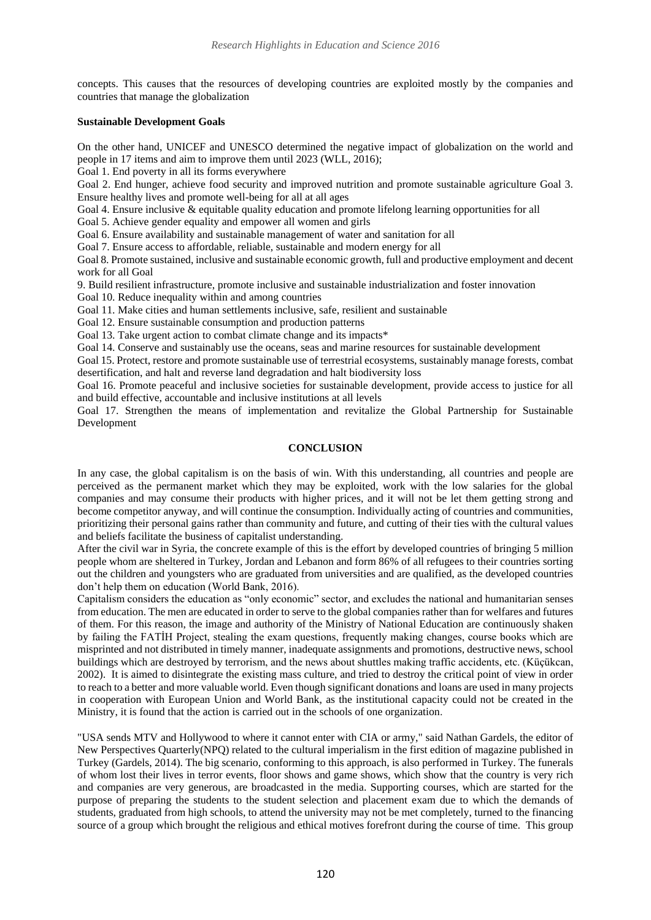concepts. This causes that the resources of developing countries are exploited mostly by the companies and countries that manage the globalization

## **Sustainable Development Goals**

On the other hand, UNICEF and UNESCO determined the negative impact of globalization on the world and people in 17 items and aim to improve them until 2023 (WLL, 2016);

Goal 1. End poverty in all its forms everywhere

Goal 2. End hunger, achieve food security and improved nutrition and promote sustainable agriculture Goal 3.

Ensure healthy lives and promote well-being for all at all ages

Goal 4. Ensure inclusive & equitable quality education and promote lifelong learning opportunities for all

Goal 5. Achieve gender equality and empower all women and girls

Goal 6. Ensure availability and sustainable management of water and sanitation for all

Goal 7. Ensure access to affordable, reliable, sustainable and modern energy for all

Goal 8. Promote sustained, inclusive and sustainable economic growth, full and productive employment and decent work for all Goal

9. Build resilient infrastructure, promote inclusive and sustainable industrialization and foster innovation

Goal 10. Reduce inequality within and among countries

Goal 11. Make cities and human settlements inclusive, safe, resilient and sustainable

Goal 12. Ensure sustainable consumption and production patterns

Goal 13. Take urgent action to combat climate change and its impacts\*

Goal 14. Conserve and sustainably use the oceans, seas and marine resources for sustainable development

Goal 15. Protect, restore and promote sustainable use of terrestrial ecosystems, sustainably manage forests, combat desertification, and halt and reverse land degradation and halt biodiversity loss

Goal 16. Promote peaceful and inclusive societies for sustainable development, provide access to justice for all and build effective, accountable and inclusive institutions at all levels

Goal 17. Strengthen the means of implementation and revitalize the Global Partnership for Sustainable Development

# **CONCLUSION**

In any case, the global capitalism is on the basis of win. With this understanding, all countries and people are perceived as the permanent market which they may be exploited, work with the low salaries for the global companies and may consume their products with higher prices, and it will not be let them getting strong and become competitor anyway, and will continue the consumption. Individually acting of countries and communities, prioritizing their personal gains rather than community and future, and cutting of their ties with the cultural values and beliefs facilitate the business of capitalist understanding.

After the civil war in Syria, the concrete example of this is the effort by developed countries of bringing 5 million people whom are sheltered in Turkey, Jordan and Lebanon and form 86% of all refugees to their countries sorting out the children and youngsters who are graduated from universities and are qualified, as the developed countries don't help them on education (World Bank, 2016).

Capitalism considers the education as "only economic" sector, and excludes the national and humanitarian senses from education. The men are educated in order to serve to the global companies rather than for welfares and futures of them. For this reason, the image and authority of the Ministry of National Education are continuously shaken by failing the FATİH Project, stealing the exam questions, frequently making changes, course books which are misprinted and not distributed in timely manner, inadequate assignments and promotions, destructive news, school buildings which are destroyed by terrorism, and the news about shuttles making traffic accidents, etc. (Küçükcan, 2002). It is aimed to disintegrate the existing mass culture, and tried to destroy the critical point of view in order to reach to a better and more valuable world. Even though significant donations and loans are used in many projects in cooperation with European Union and World Bank, as the institutional capacity could not be created in the Ministry, it is found that the action is carried out in the schools of one organization.

"USA sends MTV and Hollywood to where it cannot enter with [CIA](https://tr.wikipedia.org/wiki/CIA) or army," said Nathan Gardels, the editor of [New Perspectives Quarterly\(](https://www.google.com.tr/url?sa=t&rct=j&q=&esrc=s&source=web&cd=4&cad=rja&uact=8&ved=0ahUKEwj41d6qzv3OAhUHvRoKHSxCDr0QFggwMAM&url=http%3A%2F%2Fsimurg.com.tr%2Ftr-tr%2Furun%2Fdergi-sureli-yayin%2F184105%2Fnpq-turkiye-new-perspectives-quarterly-sayi-2-.aspx&usg=AFQjCNG7amBK_SX3OEuHi2vzTdQf4F0jtw&bvm=bv.131783435,d.d2s)NPQ) related to the cultural imperialism in the first edition of magazine published in Turkey (Gardels, 2014). The big scenario, conforming to this approach, is also performed in Turkey. The funerals of whom lost their lives in terror events, floor shows and game shows, which show that the country is very rich and companies are very generous, are broadcasted in the media. Supporting courses, which are started for the purpose of preparing the students to the student selection and placement exam due to which the demands of students, graduated from high schools, to attend the university may not be met completely, turned to the financing source of a group which brought the religious and ethical motives forefront during the course of time. This group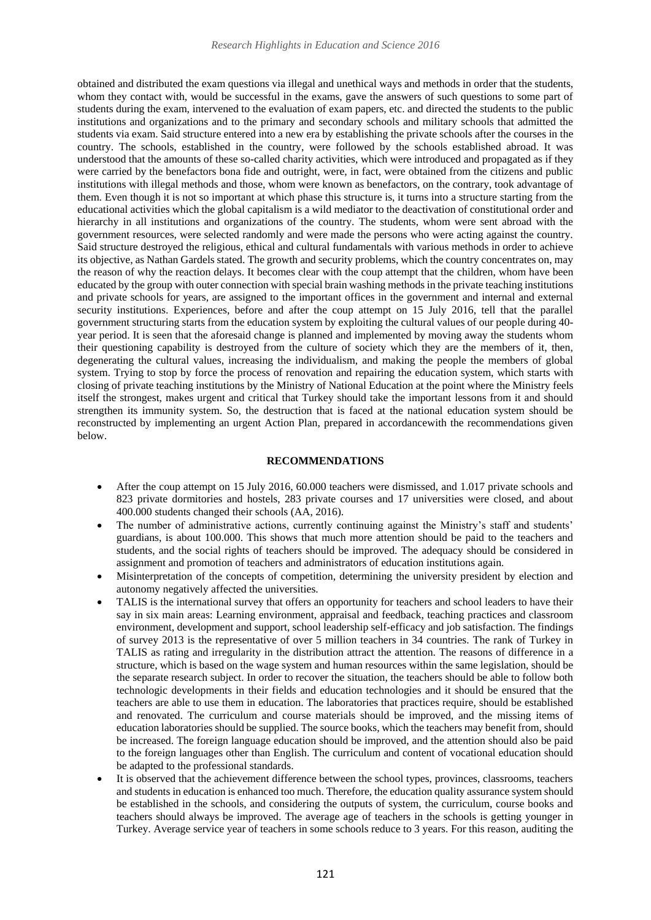obtained and distributed the exam questions via illegal and unethical ways and methods in order that the students, whom they contact with, would be successful in the exams, gave the answers of such questions to some part of students during the exam, intervened to the evaluation of exam papers, etc. and directed the students to the public institutions and organizations and to the primary and secondary schools and military schools that admitted the students via exam. Said structure entered into a new era by establishing the private schools after the courses in the country. The schools, established in the country, were followed by the schools established abroad. It was understood that the amounts of these so-called charity activities, which were introduced and propagated as if they were carried by the benefactors bona fide and outright, were, in fact, were obtained from the citizens and public institutions with illegal methods and those, whom were known as benefactors, on the contrary, took advantage of them. Even though it is not so important at which phase this structure is, it turns into a structure starting from the educational activities which the global capitalism is a wild mediator to the deactivation of constitutional order and hierarchy in all institutions and organizations of the country. The students, whom were sent abroad with the government resources, were selected randomly and were made the persons who were acting against the country. Said structure destroyed the religious, ethical and cultural fundamentals with various methods in order to achieve its objective, as Nathan Gardels stated. The growth and security problems, which the country concentrates on, may the reason of why the reaction delays. It becomes clear with the coup attempt that the children, whom have been educated by the group with outer connection with special brain washing methods in the private teaching institutions and private schools for years, are assigned to the important offices in the government and internal and external security institutions. Experiences, before and after the coup attempt on 15 July 2016, tell that the parallel government structuring starts from the education system by exploiting the cultural values of our people during 40 year period. It is seen that the aforesaid change is planned and implemented by moving away the students whom their questioning capability is destroyed from the culture of society which they are the members of it, then, degenerating the cultural values, increasing the individualism, and making the people the members of global system. Trying to stop by force the process of renovation and repairing the education system, which starts with closing of private teaching institutions by the Ministry of National Education at the point where the Ministry feels itself the strongest, makes urgent and critical that Turkey should take the important lessons from it and should strengthen its immunity system. So, the destruction that is faced at the national education system should be reconstructed by implementing an urgent Action Plan, prepared in accordancewith the recommendations given below.

## **RECOMMENDATIONS**

- After the coup attempt on 15 July 2016, 60.000 teachers were dismissed, and 1.017 private schools and 823 private dormitories and hostels, 283 private courses and 17 universities were closed, and about 400.000 students changed their schools (AA, 2016).
- The number of administrative actions, currently continuing against the Ministry's staff and students' guardians, is about 100.000. This shows that much more attention should be paid to the teachers and students, and the social rights of teachers should be improved. The adequacy should be considered in assignment and promotion of teachers and administrators of education institutions again.
- Misinterpretation of the concepts of competition, determining the university president by election and autonomy negatively affected the universities.
- TALIS is the international survey that offers an opportunity for teachers and school leaders to have their say in six main areas: Learning environment, appraisal and feedback, teaching practices and classroom environment, development and support, school leadership self-efficacy and job satisfaction. The findings of survey 2013 is the representative of over 5 million teachers in 34 countries. The rank of Turkey in TALIS as rating and irregularity in the distribution attract the attention. The reasons of difference in a structure, which is based on the wage system and human resources within the same legislation, should be the separate research subject. In order to recover the situation, the teachers should be able to follow both technologic developments in their fields and education technologies and it should be ensured that the teachers are able to use them in education. The laboratories that practices require, should be established and renovated. The curriculum and course materials should be improved, and the missing items of education laboratories should be supplied. The source books, which the teachers may benefit from, should be increased. The foreign language education should be improved, and the attention should also be paid to the foreign languages other than English. The curriculum and content of vocational education should be adapted to the professional standards.
- It is observed that the achievement difference between the school types, provinces, classrooms, teachers and students in education is enhanced too much. Therefore, the education quality assurance system should be established in the schools, and considering the outputs of system, the curriculum, course books and teachers should always be improved. The average age of teachers in the schools is getting younger in Turkey. Average service year of teachers in some schools reduce to 3 years. For this reason, auditing the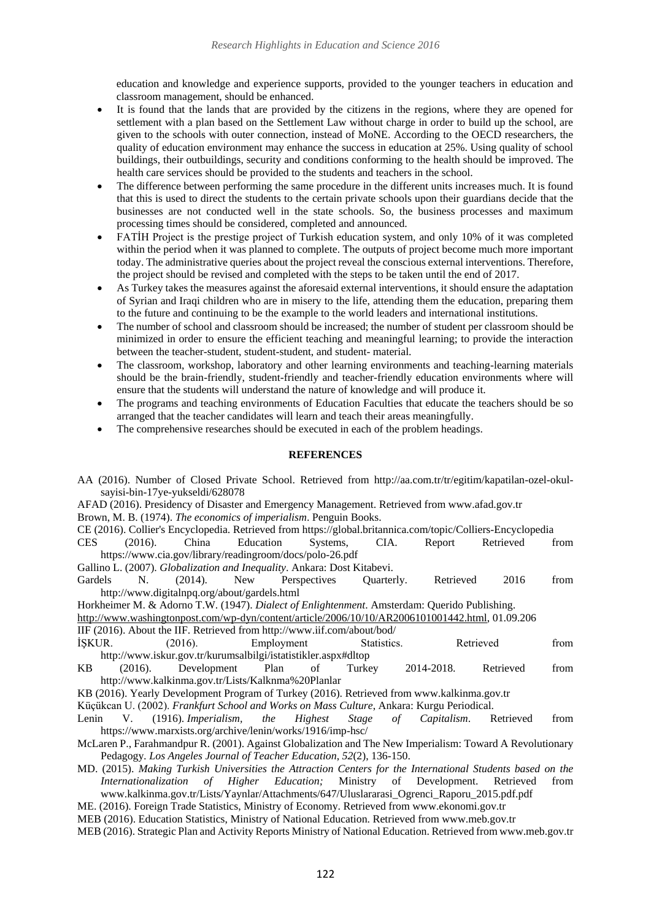education and knowledge and experience supports, provided to the younger teachers in education and classroom management, should be enhanced.

- It is found that the lands that are provided by the citizens in the regions, where they are opened for settlement with a plan based on the Settlement Law without charge in order to build up the school, are given to the schools with outer connection, instead of MoNE. According to the OECD researchers, the quality of education environment may enhance the success in education at 25%. Using quality of school buildings, their outbuildings, security and conditions conforming to the health should be improved. The health care services should be provided to the students and teachers in the school.
- The difference between performing the same procedure in the different units increases much. It is found that this is used to direct the students to the certain private schools upon their guardians decide that the businesses are not conducted well in the state schools. So, the business processes and maximum processing times should be considered, completed and announced.
- FATİH Project is the prestige project of Turkish education system, and only 10% of it was completed within the period when it was planned to complete. The outputs of project become much more important today. The administrative queries about the project reveal the conscious external interventions. Therefore, the project should be revised and completed with the steps to be taken until the end of 2017.
- As Turkey takes the measures against the aforesaid external interventions, it should ensure the adaptation of Syrian and Iraqi children who are in misery to the life, attending them the education, preparing them to the future and continuing to be the example to the world leaders and international institutions.
- The number of school and classroom should be increased; the number of student per classroom should be minimized in order to ensure the efficient teaching and meaningful learning; to provide the interaction between the teacher-student, student-student, and student- material.
- The classroom, workshop, laboratory and other learning environments and teaching-learning materials should be the brain-friendly, student-friendly and teacher-friendly education environments where will ensure that the students will understand the nature of knowledge and will produce it.
- The programs and teaching environments of Education Faculties that educate the teachers should be so arranged that the teacher candidates will learn and teach their areas meaningfully.
- The comprehensive researches should be executed in each of the problem headings.

# **REFERENCES**

|            |         |                                                                         |           |              |              |             | AA (2016). Number of Closed Private School. Retrieved from http://aa.com.tr/tr/egitim/kapatilan-ozel-okul-  |           |      |
|------------|---------|-------------------------------------------------------------------------|-----------|--------------|--------------|-------------|-------------------------------------------------------------------------------------------------------------|-----------|------|
|            |         | sayisi-bin-17ye-yukseldi/628078                                         |           |              |              |             |                                                                                                             |           |      |
|            |         |                                                                         |           |              |              |             | AFAD (2016). Presidency of Disaster and Emergency Management. Retrieved from www.afad.gov.tr                |           |      |
|            |         | Brown, M. B. (1974). The economics of imperialism. Penguin Books.       |           |              |              |             |                                                                                                             |           |      |
|            |         |                                                                         |           |              |              |             | CE (2016). Collier's Encyclopedia. Retrieved from https://global.britannica.com/topic/Colliers-Encyclopedia |           |      |
| <b>CES</b> | (2016). | China                                                                   | Education |              | Systems,     | CIA.        | Report                                                                                                      | Retrieved | from |
|            |         | https://www.cia.gov/library/readingroom/docs/polo-26.pdf                |           |              |              |             |                                                                                                             |           |      |
|            |         | Gallino L. (2007). Globalization and Inequality. Ankara: Dost Kitabevi. |           |              |              |             |                                                                                                             |           |      |
| Gardels    | N.      | (2014).                                                                 | New       | Perspectives |              | Quarterly.  | Retrieved                                                                                                   | 2016      | from |
|            |         | http://www.digitalnpq.org/about/gardels.html                            |           |              |              |             |                                                                                                             |           |      |
|            |         |                                                                         |           |              |              |             | Horkheimer M. & Adorno T.W. (1947). Dialect of Enlightenment. Amsterdam: Querido Publishing.                |           |      |
|            |         |                                                                         |           |              |              |             | http://www.washingtonpost.com/wp-dyn/content/article/2006/10/10/AR2006101001442.html, 01.09.206             |           |      |
|            |         | IIF (2016). About the IIF. Retrieved from http://www.iif.com/about/bod/ |           |              |              |             |                                                                                                             |           |      |
| İŞKUR.     |         | (2016).                                                                 |           | Employment   |              | Statistics. | Retrieved                                                                                                   |           | from |
|            |         | http://www.iskur.gov.tr/kurumsalbilgi/istatistikler.aspx#dltop          |           |              |              |             |                                                                                                             |           |      |
| KB         | (2016). | Development Plan                                                        |           | of           | Turkey       |             | 2014-2018.                                                                                                  | Retrieved | from |
|            |         | http://www.kalkinma.gov.tr/Lists/Kalknma%20Planlar                      |           |              |              |             |                                                                                                             |           |      |
|            |         |                                                                         |           |              |              |             | KB (2016). Yearly Development Program of Turkey (2016). Retrieved from www.kalkinma.gov.tr                  |           |      |
|            |         |                                                                         |           |              |              |             | Küçükcan U. (2002). Frankfurt School and Works on Mass Culture, Ankara: Kurgu Periodical.                   |           |      |
|            |         | Lenin V. (1916). Imperialism,                                           |           | the Highest  | <i>Stage</i> | of          | Capitalism.                                                                                                 | Retrieved | from |
|            |         | https://www.marxists.org/archive/lenin/works/1916/imp-hsc/              |           |              |              |             |                                                                                                             |           |      |
|            |         |                                                                         |           |              |              |             | McLaren P., Farahmandpur R. (2001). Against Globalization and The New Imperialism: Toward A Revolutionary   |           |      |
|            |         | Pedagogy. Los Angeles Journal of Teacher Education, 52(2), 136-150.     |           |              |              |             |                                                                                                             |           |      |
|            |         |                                                                         |           |              |              |             | MD. (2015). Making Turkish Universities the Attraction Centers for the International Students based on the  |           |      |
|            |         |                                                                         |           |              |              |             | <i>Internationalization of Higher Education;</i> Ministry of Development.                                   | Retrieved | from |
|            |         |                                                                         |           |              |              |             | www.kalkinma.gov.tr/Lists/Yaynlar/Attachments/647/Uluslararasi_Ogrenci_Raporu_2015.pdf.pdf                  |           |      |
|            |         |                                                                         |           |              |              |             | ME. (2016). Foreign Trade Statistics, Ministry of Economy. Retrieved from www.ekonomi.gov.tr                |           |      |
|            |         |                                                                         |           |              |              |             | MER (2016) Education Statistics Ministry of National Education Retrieved from www.meb.gov.tr                |           |      |

Education Statistics, Ministry of National Education. Retrieved from www.meb.gov.tr MEB (2016). Strategic Plan and Activity Reports Ministry of National Education. Retrieved from www.meb.gov.tr